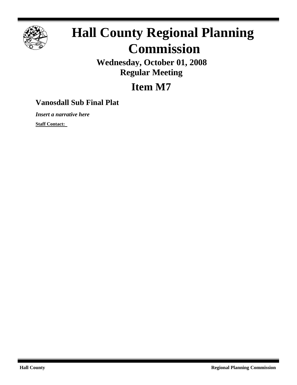

## **Hall County Regional Planning Commission**

**Wednesday, October 01, 2008 Regular Meeting**

**Item M7**

## **Vanosdall Sub Final Plat**

*Insert a narrative here*

**Staff Contact:**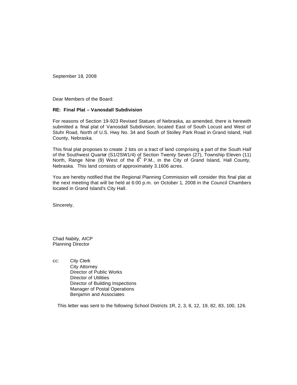September 18, 2008

Dear Members of the Board:

## **RE: Final Plat – Vanosdall Subdivision**

For reasons of Section 19-923 Revised Statues of Nebraska, as amended, there is herewith submitted a final plat of Vanosdall Subdivision, located East of South Locust and West of Stuhr Road, North of U.S. Hwy No. 34 and South of Stolley Park Road in Grand Island, Hall County, Nebraska.

This final plat proposes to create 2 lots on a tract of land comprising a part of the South Half of the Southwest Quarter (S1/2SW1/4) of Section Twenty Seven (27), Township Eleven (11) North, Range Nine (9) West of the  $6<sup>h</sup>$  P.M., in the City of Grand Island, Hall County, Nebraska. This land consists of approximately 3.1606 acres.

You are hereby notified that the Regional Planning Commission will consider this final plat at the next meeting that will be held at 6:00 p.m. on October 1, 2008 in the Council Chambers located in Grand Island's City Hall.

Sincerely,

Chad Nabity, AICP Planning Director

cc: City Clerk City Attorney Director of Public Works Director of Utilities Director of Building Inspections Manager of Postal Operations Benjamin and Associates

This letter was sent to the following School Districts 1R, 2, 3, 8, 12, 19, 82, 83, 100, 126.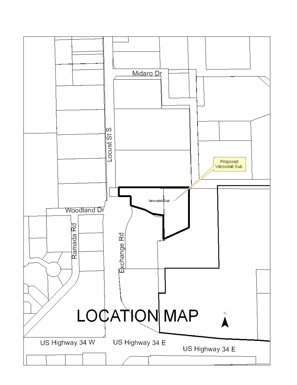